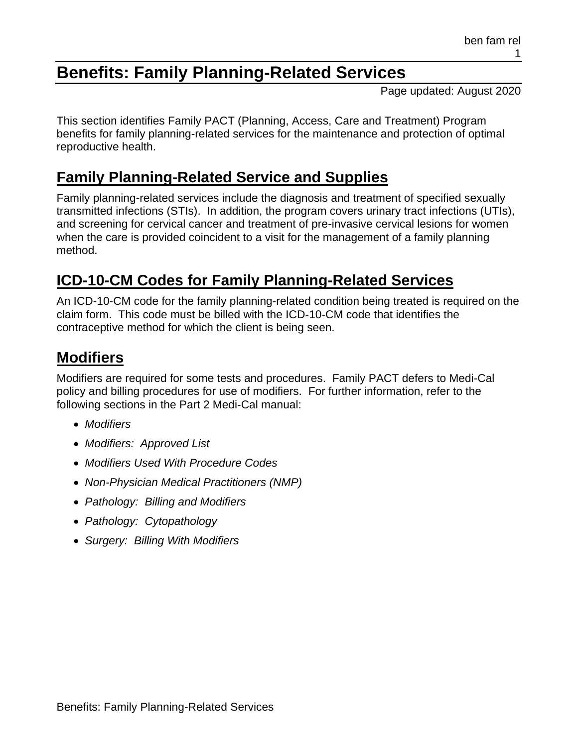# **Benefits: Family Planning-Related Services**

Page updated: August 2020

This section identifies Family PACT (Planning, Access, Care and Treatment) Program benefits for family planning-related services for the maintenance and protection of optimal reproductive health.

# **Family Planning-Related Service and Supplies**

Family planning-related services include the diagnosis and treatment of specified sexually transmitted infections (STIs). In addition, the program covers urinary tract infections (UTIs), and screening for cervical cancer and treatment of pre-invasive cervical lesions for women when the care is provided coincident to a visit for the management of a family planning method.

# **ICD-10-CM Codes for Family Planning-Related Services**

An ICD-10-CM code for the family planning-related condition being treated is required on the claim form. This code must be billed with the ICD-10-CM code that identifies the contraceptive method for which the client is being seen.

# **Modifiers**

Modifiers are required for some tests and procedures. Family PACT defers to Medi-Cal policy and billing procedures for use of modifiers. For further information, refer to the following sections in the Part 2 Medi-Cal manual:

- *Modifiers*
- *Modifiers: Approved List*
- *Modifiers Used With Procedure Codes*
- *Non-Physician Medical Practitioners (NMP)*
- *Pathology: Billing and Modifiers*
- *Pathology: Cytopathology*
- *Surgery: Billing With Modifiers*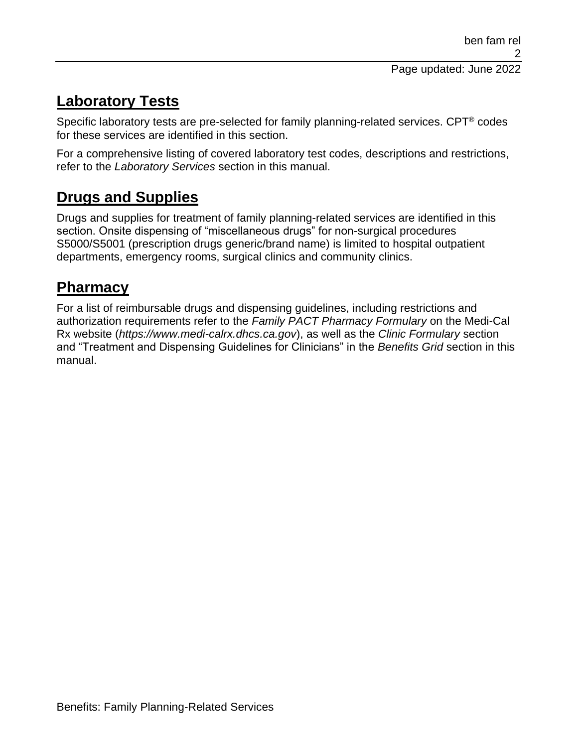# **Laboratory Tests**

Specific laboratory tests are pre-selected for family planning-related services. CPT® codes for these services are identified in this section.

For a comprehensive listing of covered laboratory test codes, descriptions and restrictions, refer to the *Laboratory Services* section in this manual.

# **Drugs and Supplies**

Drugs and supplies for treatment of family planning-related services are identified in this section. Onsite dispensing of "miscellaneous drugs" for non-surgical procedures S5000/S5001 (prescription drugs generic/brand name) is limited to hospital outpatient departments, emergency rooms, surgical clinics and community clinics.

# **Pharmacy**

For a list of reimbursable drugs and dispensing guidelines, including restrictions and authorization requirements refer to the *Family PACT Pharmacy Formulary* on the Medi-Cal Rx website (*https://www.medi-calrx.dhcs.ca.gov*), as well as the *Clinic Formulary* section and "Treatment and Dispensing Guidelines for Clinicians" in the *Benefits Grid* section in this manual.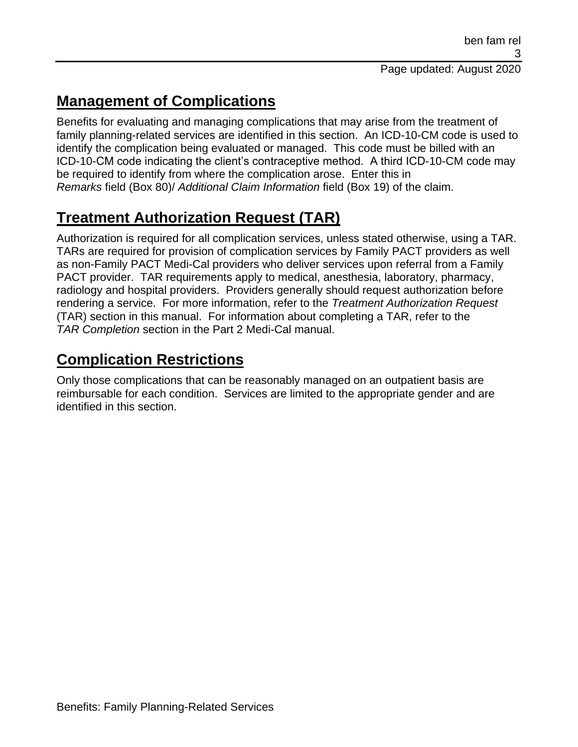# **Management of Complications**

Benefits for evaluating and managing complications that may arise from the treatment of family planning-related services are identified in this section. An ICD-10-CM code is used to identify the complication being evaluated or managed. This code must be billed with an ICD-10-CM code indicating the client's contraceptive method. A third ICD-10-CM code may be required to identify from where the complication arose. Enter this in *Remarks* field (Box 80)/ *Additional Claim Information* field (Box 19) of the claim.

# **Treatment Authorization Request (TAR)**

Authorization is required for all complication services, unless stated otherwise, using a TAR. TARs are required for provision of complication services by Family PACT providers as well as non-Family PACT Medi-Cal providers who deliver services upon referral from a Family PACT provider. TAR requirements apply to medical, anesthesia, laboratory, pharmacy, radiology and hospital providers. Providers generally should request authorization before rendering a service. For more information, refer to the *Treatment Authorization Request* (TAR) section in this manual. For information about completing a TAR, refer to the *TAR Completion* section in the Part 2 Medi-Cal manual.

# **Complication Restrictions**

Only those complications that can be reasonably managed on an outpatient basis are reimbursable for each condition. Services are limited to the appropriate gender and are identified in this section.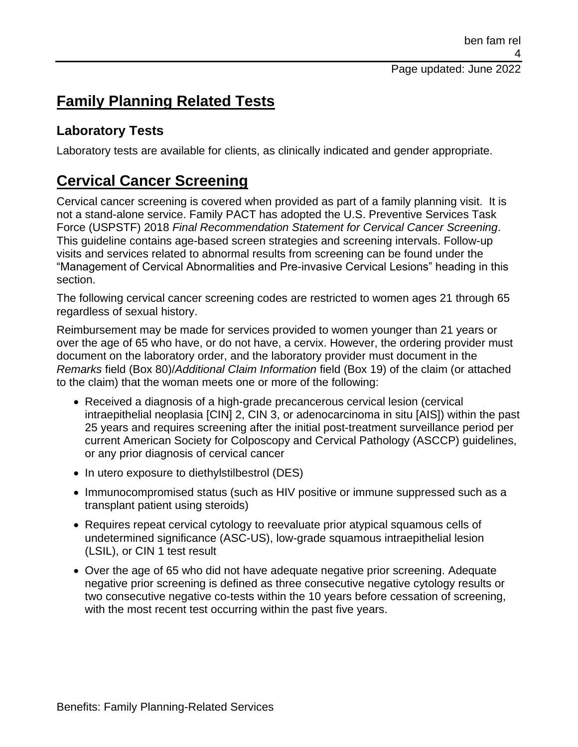# **Family Planning Related Tests**

## **Laboratory Tests**

Laboratory tests are available for clients, as clinically indicated and gender appropriate.

# **Cervical Cancer Screening**

Cervical cancer screening is covered when provided as part of a family planning visit. It is not a stand-alone service. Family PACT has adopted the U.S. Preventive Services Task Force (USPSTF) 2018 *Final Recommendation Statement for Cervical Cancer Screening*. This guideline contains age-based screen strategies and screening intervals. Follow-up visits and services related to abnormal results from screening can be found under the "Management of Cervical Abnormalities and Pre-invasive Cervical Lesions" heading in this section.

The following cervical cancer screening codes are restricted to women ages 21 through 65 regardless of sexual history.

Reimbursement may be made for services provided to women younger than 21 years or over the age of 65 who have, or do not have, a cervix. However, the ordering provider must document on the laboratory order, and the laboratory provider must document in the *Remarks* field (Box 80)/*Additional Claim Information* field (Box 19) of the claim (or attached to the claim) that the woman meets one or more of the following:

- Received a diagnosis of a high-grade precancerous cervical lesion (cervical intraepithelial neoplasia [CIN] 2, CIN 3, or adenocarcinoma in situ [AIS]) within the past 25 years and requires screening after the initial post-treatment surveillance period per current American Society for Colposcopy and Cervical Pathology (ASCCP) guidelines, or any prior diagnosis of cervical cancer
- In utero exposure to diethylstilbestrol (DES)
- Immunocompromised status (such as HIV positive or immune suppressed such as a transplant patient using steroids)
- Requires repeat cervical cytology to reevaluate prior atypical squamous cells of undetermined significance (ASC-US), low-grade squamous intraepithelial lesion (LSIL), or CIN 1 test result
- Over the age of 65 who did not have adequate negative prior screening. Adequate negative prior screening is defined as three consecutive negative cytology results or two consecutive negative co-tests within the 10 years before cessation of screening, with the most recent test occurring within the past five years.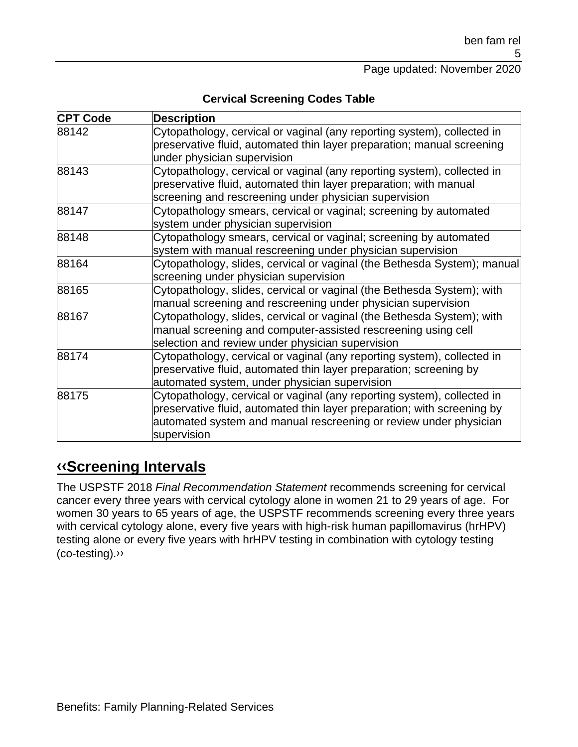Page updated: November 2020

**Cervical Screening Codes Table**

| <b>CPT Code</b> | <b>Description</b>                                                       |
|-----------------|--------------------------------------------------------------------------|
| 88142           | Cytopathology, cervical or vaginal (any reporting system), collected in  |
|                 | preservative fluid, automated thin layer preparation; manual screening   |
|                 | under physician supervision                                              |
| 88143           | Cytopathology, cervical or vaginal (any reporting system), collected in  |
|                 | preservative fluid, automated thin layer preparation; with manual        |
|                 | screening and rescreening under physician supervision                    |
| 88147           | Cytopathology smears, cervical or vaginal; screening by automated        |
|                 | system under physician supervision                                       |
| 88148           | Cytopathology smears, cervical or vaginal; screening by automated        |
|                 | system with manual rescreening under physician supervision               |
| 88164           | Cytopathology, slides, cervical or vaginal (the Bethesda System); manual |
|                 | screening under physician supervision                                    |
| 88165           | Cytopathology, slides, cervical or vaginal (the Bethesda System); with   |
|                 | manual screening and rescreening under physician supervision             |
| 88167           | Cytopathology, slides, cervical or vaginal (the Bethesda System); with   |
|                 | manual screening and computer-assisted rescreening using cell            |
|                 | selection and review under physician supervision                         |
| 88174           | Cytopathology, cervical or vaginal (any reporting system), collected in  |
|                 | preservative fluid, automated thin layer preparation; screening by       |
|                 | automated system, under physician supervision                            |
| 88175           | Cytopathology, cervical or vaginal (any reporting system), collected in  |
|                 | preservative fluid, automated thin layer preparation; with screening by  |
|                 | automated system and manual rescreening or review under physician        |
|                 | supervision                                                              |

# **[‹‹S](#page-33-0)creening Intervals**

The USPSTF 2018 *Final Recommendation Statement* recommends screening for cervical cancer every three years with cervical cytology alone in women 21 to 29 years of age. For women 30 years to 65 years of age, the USPSTF recommends screening every three years with cervical cytology alone, every five years with high-risk human papillomavirus (hrHPV) testing alone or every five years with hrHPV testing in combination with cytology testing (co-testing)[.››](#page-33-1)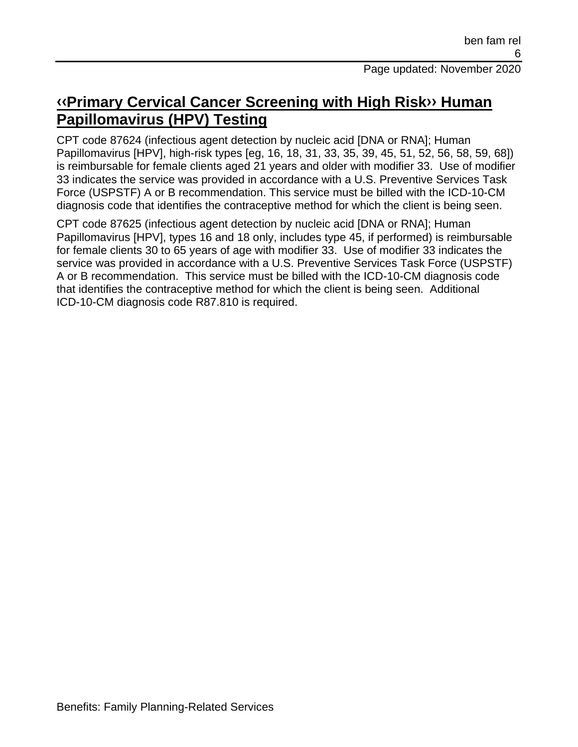## **[‹‹P](#page-33-0)rimary Cervical Cancer Screening with High Ris[k››](#page-33-1) Human Papillomavirus (HPV) Testing**

CPT code 87624 (infectious agent detection by nucleic acid [DNA or RNA]; Human Papillomavirus [HPV], high-risk types [eg, 16, 18, 31, 33, 35, 39, 45, 51, 52, 56, 58, 59, 68]) is reimbursable for female clients aged 21 years and older with modifier 33. Use of modifier 33 indicates the service was provided in accordance with a U.S. Preventive Services Task Force (USPSTF) A or B recommendation. This service must be billed with the ICD-10-CM diagnosis code that identifies the contraceptive method for which the client is being seen.

CPT code 87625 (infectious agent detection by nucleic acid [DNA or RNA]; Human Papillomavirus [HPV], types 16 and 18 only, includes type 45, if performed) is reimbursable for female clients 30 to 65 years of age with modifier 33. Use of modifier 33 indicates the service was provided in accordance with a U.S. Preventive Services Task Force (USPSTF) A or B recommendation. This service must be billed with the ICD-10-CM diagnosis code that identifies the contraceptive method for which the client is being seen. Additional ICD-10-CM diagnosis code R87.810 is required.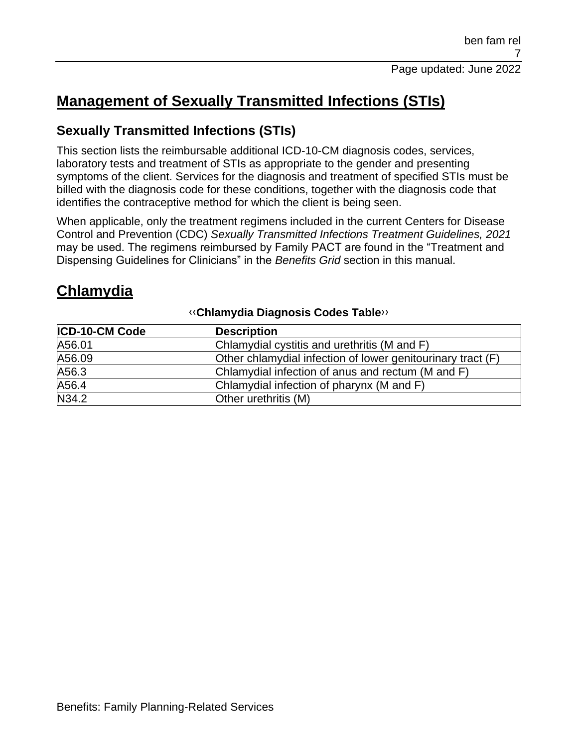# **Management of Sexually Transmitted Infections (STIs)**

## **Sexually Transmitted Infections (STIs)**

This section lists the reimbursable additional ICD-10-CM diagnosis codes, services, laboratory tests and treatment of STIs as appropriate to the gender and presenting symptoms of the client. Services for the diagnosis and treatment of specified STIs must be billed with the diagnosis code for these conditions, together with the diagnosis code that identifies the contraceptive method for which the client is being seen.

When applicable, only the treatment regimens included in the current Centers for Disease Control and Prevention (CDC) *Sexually Transmitted Infections Treatment Guidelines, 2021* may be used. The regimens reimbursed by Family PACT are found in the "Treatment and Dispensing Guidelines for Clinicians" in the *Benefits Grid* section in this manual.

# **Chlamydia**

| <b>ICD-10-CM Code</b> | <b>Description</b>                                          |
|-----------------------|-------------------------------------------------------------|
| A56.01                | Chlamydial cystitis and urethritis (M and F)                |
| A56.09                | Other chlamydial infection of lower genitourinary tract (F) |
| A56.3                 | Chlamydial infection of anus and rectum (M and F)           |
| A56.4                 | Chlamydial infection of pharynx (M and F)                   |
| N34.2                 | Other urethritis (M)                                        |

#### [‹‹](#page-33-0)**Chlamydia Diagnosis Codes Table**[››](#page-33-1)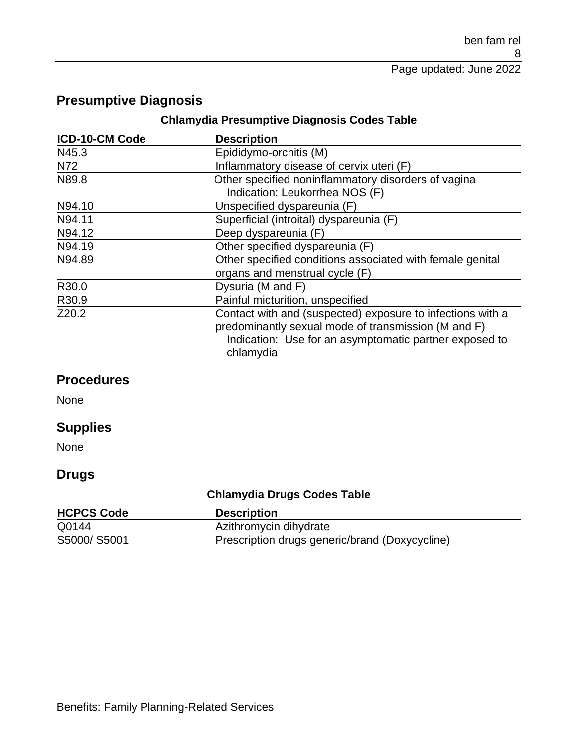## **Presumptive Diagnosis**

#### **Chlamydia Presumptive Diagnosis Codes Table**

| ICD-10-CM Code | <b>Description</b>                                                                                                                                                                       |
|----------------|------------------------------------------------------------------------------------------------------------------------------------------------------------------------------------------|
| N45.3          | Epididymo-orchitis (M)                                                                                                                                                                   |
| N72            | Inflammatory disease of cervix uteri (F)                                                                                                                                                 |
| N89.8          | Other specified noninflammatory disorders of vagina<br>Indication: Leukorrhea NOS (F)                                                                                                    |
| N94.10         | Unspecified dyspareunia (F)                                                                                                                                                              |
| N94.11         | Superficial (introital) dyspareunia (F)                                                                                                                                                  |
| N94.12         | Deep dyspareunia (F)                                                                                                                                                                     |
| N94.19         | Other specified dyspareunia (F)                                                                                                                                                          |
| N94.89         | Other specified conditions associated with female genital<br>organs and menstrual cycle (F)                                                                                              |
| R30.0          | Dysuria (M and F)                                                                                                                                                                        |
| R30.9          | Painful micturition, unspecified                                                                                                                                                         |
| Z20.2          | Contact with and (suspected) exposure to infections with a<br>predominantly sexual mode of transmission (M and F)<br>Indication: Use for an asymptomatic partner exposed to<br>chlamydia |

## **Procedures**

None

## **Supplies**

None

## **Drugs**

## **Chlamydia Drugs Codes Table**

| <b>HCPCS Code</b> | <b>Description</b>                             |
|-------------------|------------------------------------------------|
| Q0144             | Azithromycin dihydrate                         |
| S5000/S5001       | Prescription drugs generic/brand (Doxycycline) |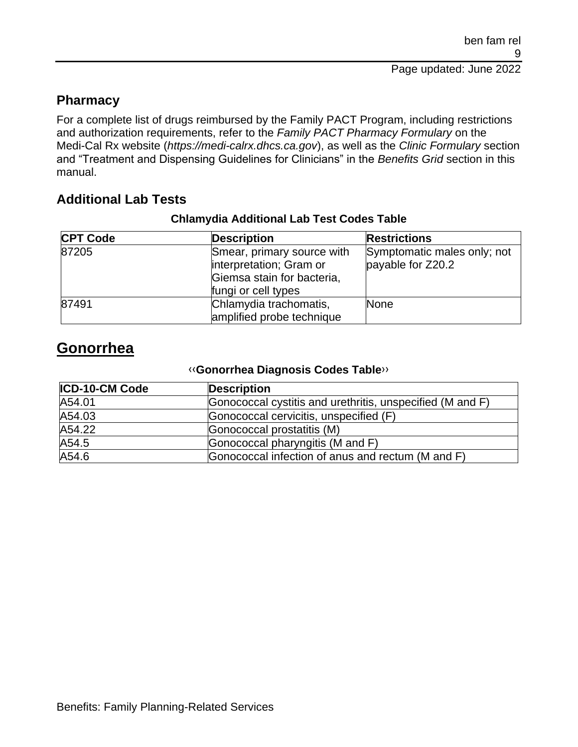## **Pharmacy**

For a complete list of drugs reimbursed by the Family PACT Program, including restrictions and authorization requirements, refer to the *Family PACT Pharmacy Formulary* on the Medi-Cal Rx website (*https://medi-calrx.dhcs.ca.gov*), as well as the *Clinic Formulary* section and "Treatment and Dispensing Guidelines for Clinicians" in the *Benefits Grid* section in this manual.

## **Additional Lab Tests**

#### **Chlamydia Additional Lab Test Codes Table**

| <b>CPT Code</b> | <b>Description</b>                                                                                         | <b>Restrictions</b>                              |
|-----------------|------------------------------------------------------------------------------------------------------------|--------------------------------------------------|
| 87205           | Smear, primary source with<br>interpretation; Gram or<br>Giemsa stain for bacteria,<br>fungi or cell types | Symptomatic males only; not<br>payable for Z20.2 |
| 87491           | Chlamydia trachomatis,<br>amplified probe technique                                                        | <b>None</b>                                      |

# **Gonorrhea**

#### [‹‹](#page-33-0)**Gonorrhea Diagnosis Codes Table**[››](#page-33-1)

| <b>ICD-10-CM Code</b> | <b>Description</b>                                        |
|-----------------------|-----------------------------------------------------------|
| A54.01                | Gonococcal cystitis and urethritis, unspecified (M and F) |
| A54.03                | Gonococcal cervicitis, unspecified (F)                    |
| A54.22                | Gonococcal prostatitis (M)                                |
| A54.5                 | Gonococcal pharyngitis (M and F)                          |
| A54.6                 | Gonococcal infection of anus and rectum (M and F)         |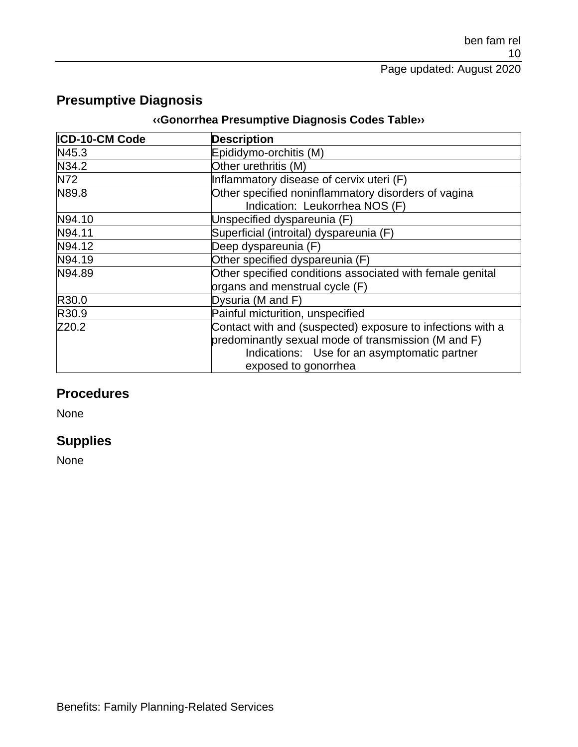## **Presumptive Diagnosis**

#### **[‹‹G](#page-33-0)onorrhea Presumptive Diagnosis Codes Tabl[e››](#page-33-1)**

| ICD-10-CM Code | <b>Description</b>                                                                                                                                                                        |
|----------------|-------------------------------------------------------------------------------------------------------------------------------------------------------------------------------------------|
| N45.3          | Epididymo-orchitis (M)                                                                                                                                                                    |
| N34.2          | Other urethritis (M)                                                                                                                                                                      |
| <b>N72</b>     | Inflammatory disease of cervix uteri (F)                                                                                                                                                  |
| N89.8          | Other specified noninflammatory disorders of vagina<br>Indication: Leukorrhea NOS (F)                                                                                                     |
| N94.10         | Unspecified dyspareunia (F)                                                                                                                                                               |
| N94.11         | Superficial (introital) dyspareunia (F)                                                                                                                                                   |
| N94.12         | Deep dyspareunia (F)                                                                                                                                                                      |
| N94.19         | Other specified dyspareunia (F)                                                                                                                                                           |
| N94.89         | Other specified conditions associated with female genital<br>organs and menstrual cycle (F)                                                                                               |
| R30.0          | Dysuria (M and F)                                                                                                                                                                         |
| R30.9          | Painful micturition, unspecified                                                                                                                                                          |
| Z20.2          | Contact with and (suspected) exposure to infections with a<br>predominantly sexual mode of transmission (M and F)<br>Indications: Use for an asymptomatic partner<br>exposed to gonorrhea |

## **Procedures**

None

## **Supplies**

None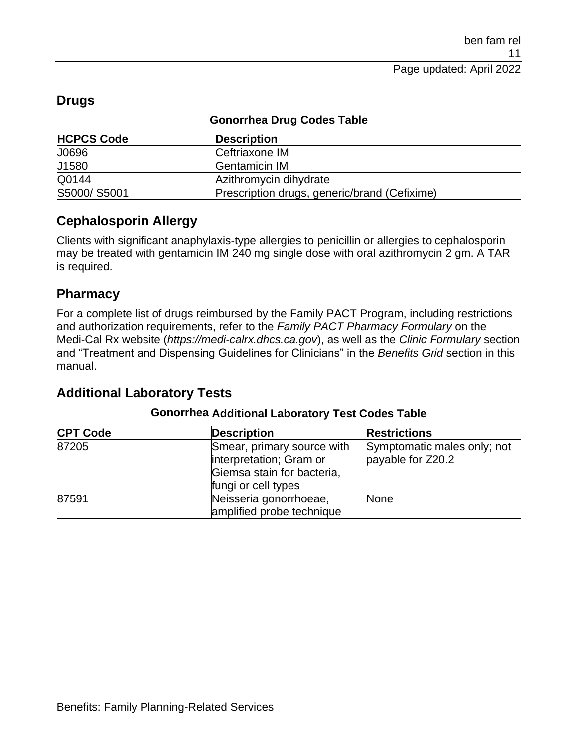| <b>HCPCS Code</b> | <b>Description</b>                           |
|-------------------|----------------------------------------------|
| J0696             | Ceftriaxone IM                               |
| J1580             | Gentamicin IM                                |
| Q0144             | Azithromycin dihydrate                       |
| S5000/S5001       | Prescription drugs, generic/brand (Cefixime) |

## **Drugs**

#### **Gonorrhea Drug Codes Table**

### **Cephalosporin Allergy**

Clients with significant anaphylaxis-type allergies to penicillin or allergies to cephalosporin may be treated with gentamicin IM 240 mg single dose with oral azithromycin 2 gm. A TAR is required.

#### **Pharmacy**

For a complete list of drugs reimbursed by the Family PACT Program, including restrictions and authorization requirements, refer to the *Family PACT Pharmacy Formulary* on the Medi-Cal Rx website (*https://medi-calrx.dhcs.ca.gov*), as well as the *Clinic Formulary* section and "Treatment and Dispensing Guidelines for Clinicians" in the *Benefits Grid* section in this manual.

## **Additional Laboratory Tests**

#### **Gonorrhea Additional Laboratory Test Codes Table**

| <b>CPT Code</b> | <b>Description</b>                                                                                         | <b>Restrictions</b>                              |
|-----------------|------------------------------------------------------------------------------------------------------------|--------------------------------------------------|
| 87205           | Smear, primary source with<br>interpretation; Gram or<br>Giemsa stain for bacteria,<br>fungi or cell types | Symptomatic males only; not<br>payable for Z20.2 |
| 87591           | Neisseria gonorrhoeae,<br>amplified probe technique                                                        | <b>None</b>                                      |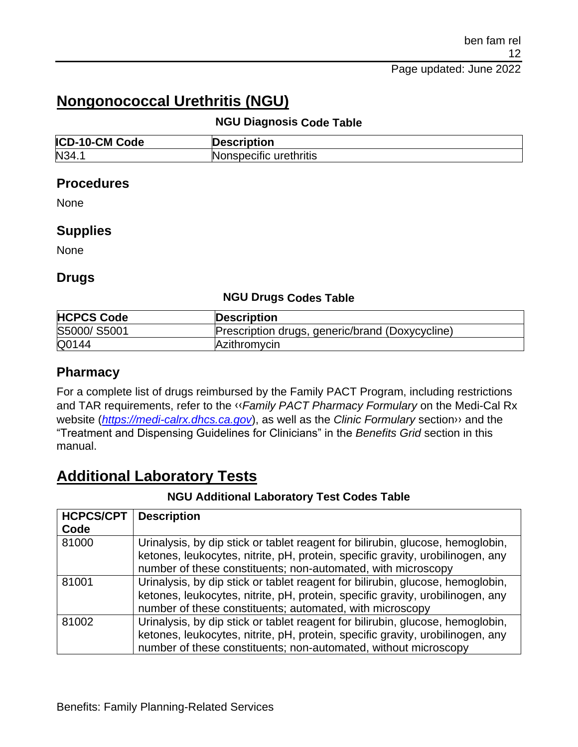# **Nongonococcal Urethritis (NGU)**

#### **NGU Diagnosis Code Table**

| <b>ICD-10-CM Code</b> | <b>Description</b>     |
|-----------------------|------------------------|
| N34.                  | Nonspecific urethritis |

#### **Procedures**

None

#### **Supplies**

None

#### **Drugs**

#### **NGU Drugs Codes Table**

| <b>HCPCS Code</b> | <b>Description</b>                              |
|-------------------|-------------------------------------------------|
| S5000/S5001       | Prescription drugs, generic/brand (Doxycycline) |
| Q0144             | Azithromycin                                    |

#### **Pharmacy**

For a complete list of drugs reimbursed by the Family PACT Program, including restrictions and TAR requirements, refer to the [‹‹](#page-33-0)*Family PACT Pharmacy Formulary* on the Medi-Cal Rx website (*[https://medi-calrx.dhcs.ca.gov](https://medi-calrx.dhcs.ca.gov/)*), as well as the *Clinic Formulary* sectio[n››](#page-33-1) and the "Treatment and Dispensing Guidelines for Clinicians" in the *Benefits Grid* section in this manual.

# **Additional Laboratory Tests**

#### **NGU Additional Laboratory Test Codes Table**

| <b>HCPCS/CPT</b> | <b>Description</b>                                                             |
|------------------|--------------------------------------------------------------------------------|
| Code             |                                                                                |
| 81000            | Urinalysis, by dip stick or tablet reagent for bilirubin, glucose, hemoglobin, |
|                  | ketones, leukocytes, nitrite, pH, protein, specific gravity, urobilinogen, any |
|                  | number of these constituents; non-automated, with microscopy                   |
| 81001            | Urinalysis, by dip stick or tablet reagent for bilirubin, glucose, hemoglobin, |
|                  | ketones, leukocytes, nitrite, pH, protein, specific gravity, urobilinogen, any |
|                  | number of these constituents; automated, with microscopy                       |
| 81002            | Urinalysis, by dip stick or tablet reagent for bilirubin, glucose, hemoglobin, |
|                  | ketones, leukocytes, nitrite, pH, protein, specific gravity, urobilinogen, any |
|                  | number of these constituents; non-automated, without microscopy                |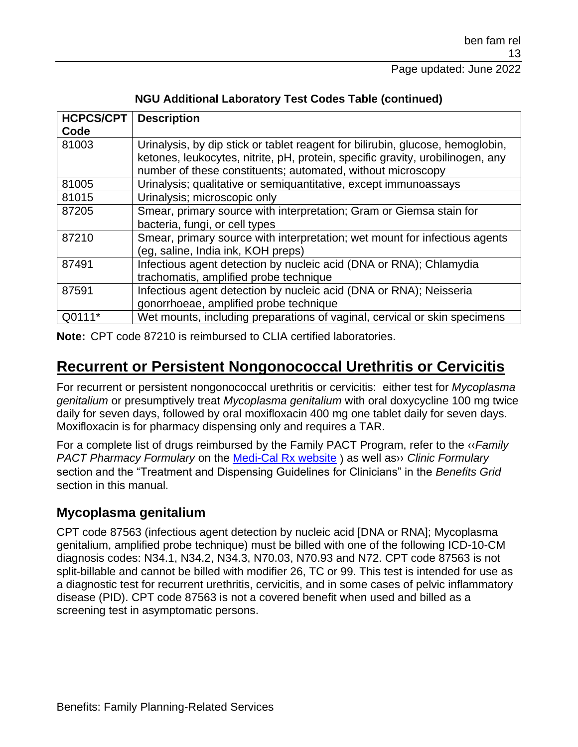#### Page updated: June 2022

| <b>HCPCS/CPT</b> | <b>Description</b>                                                             |
|------------------|--------------------------------------------------------------------------------|
| Code             |                                                                                |
| 81003            | Urinalysis, by dip stick or tablet reagent for bilirubin, glucose, hemoglobin, |
|                  | ketones, leukocytes, nitrite, pH, protein, specific gravity, urobilinogen, any |
|                  | number of these constituents; automated, without microscopy                    |
| 81005            | Urinalysis; qualitative or semiquantitative, except immunoassays               |
| 81015            | Urinalysis; microscopic only                                                   |
| 87205            | Smear, primary source with interpretation; Gram or Giemsa stain for            |
|                  | bacteria, fungi, or cell types                                                 |
| 87210            | Smear, primary source with interpretation; wet mount for infectious agents     |
|                  | (eg. saline, India ink, KOH preps)                                             |
| 87491            | Infectious agent detection by nucleic acid (DNA or RNA); Chlamydia             |
|                  | trachomatis, amplified probe technique                                         |
| 87591            | Infectious agent detection by nucleic acid (DNA or RNA); Neisseria             |
|                  | gonorrhoeae, amplified probe technique                                         |
| Q0111*           | Wet mounts, including preparations of vaginal, cervical or skin specimens      |

#### **NGU Additional Laboratory Test Codes Table (continued)**

**Note:** CPT code 87210 is reimbursed to CLIA certified laboratories.

## **Recurrent or Persistent Nongonococcal Urethritis or Cervicitis**

For recurrent or persistent nongonococcal urethritis or cervicitis: either test for *Mycoplasma genitalium* or presumptively treat *Mycoplasma genitalium* with oral doxycycline 100 mg twice daily for seven days, followed by oral moxifloxacin 400 mg one tablet daily for seven days. Moxifloxacin is for pharmacy dispensing only and requires a TAR.

For a complete list of drugs reimbursed by the Family PACT Program, refer to the [‹‹](#page-33-0)*Family PACT Pharmacy Formulary* on the [Medi-Cal Rx website](https://medi-calrx.dhcs.ca.gov/) ) as well a[s››](#page-33-1) *Clinic Formulary* section and the "Treatment and Dispensing Guidelines for Clinicians" in the *Benefits Grid* section in this manual.

## **Mycoplasma genitalium**

CPT code 87563 (infectious agent detection by nucleic acid [DNA or RNA]; Mycoplasma genitalium, amplified probe technique) must be billed with one of the following ICD-10-CM diagnosis codes: N34.1, N34.2, N34.3, N70.03, N70.93 and N72. CPT code 87563 is not split-billable and cannot be billed with modifier 26, TC or 99. This test is intended for use as a diagnostic test for recurrent urethritis, cervicitis, and in some cases of pelvic inflammatory disease (PID). CPT code 87563 is not a covered benefit when used and billed as a screening test in asymptomatic persons.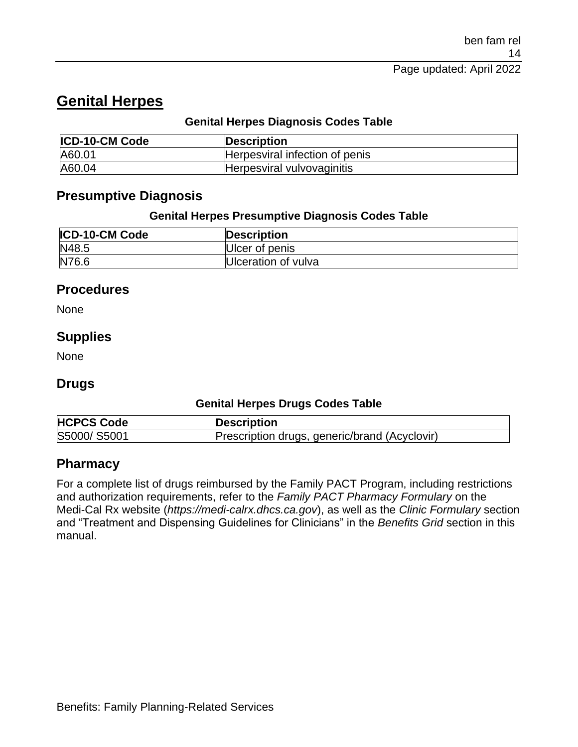# **Genital Herpes**

#### **Genital Herpes Diagnosis Codes Table**

| <b>ICD-10-CM Code</b> | <b>Description</b>             |
|-----------------------|--------------------------------|
| A60.01                | Herpesviral infection of penis |
| A60.04                | Herpesviral vulvovaginitis     |

## **Presumptive Diagnosis**

#### **Genital Herpes Presumptive Diagnosis Codes Table**

| <b>ICD-10-CM Code</b> | <b>Description</b>  |
|-----------------------|---------------------|
| N48.5                 | Ulcer of penis      |
| N76.6                 | Ulceration of vulva |

#### **Procedures**

None

#### **Supplies**

None

### **Drugs**

#### **Genital Herpes Drugs Codes Table**

| <b>HCPCS Code</b> | Description                                   |
|-------------------|-----------------------------------------------|
| S5000/S5001       | Prescription drugs, generic/brand (Acyclovir) |

### **Pharmacy**

For a complete list of drugs reimbursed by the Family PACT Program, including restrictions and authorization requirements, refer to the *Family PACT Pharmacy Formulary* on the Medi-Cal Rx website (*https://medi-calrx.dhcs.ca.gov*), as well as the *Clinic Formulary* section and "Treatment and Dispensing Guidelines for Clinicians" in the *Benefits Grid* section in this manual.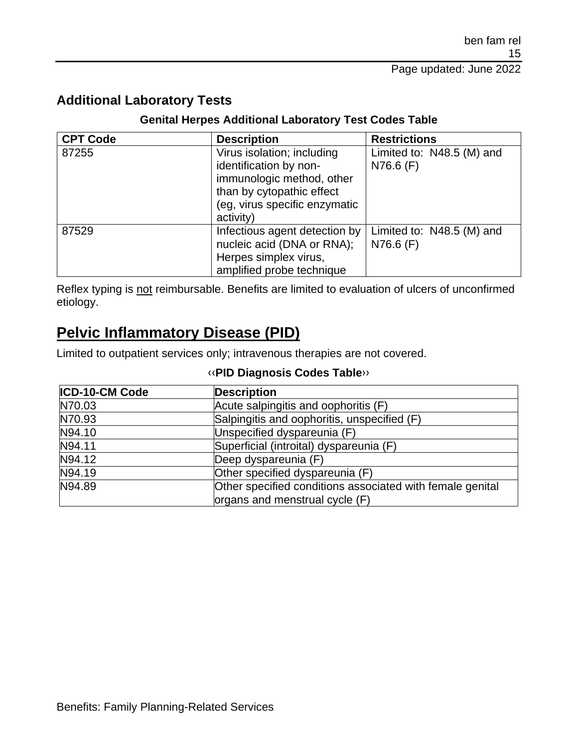## **Additional Laboratory Tests**

#### **Genital Herpes Additional Laboratory Test Codes Table**

| <b>CPT Code</b> | <b>Description</b>                                                                                                                                           | <b>Restrictions</b>                      |
|-----------------|--------------------------------------------------------------------------------------------------------------------------------------------------------------|------------------------------------------|
| 87255           | Virus isolation; including<br>identification by non-<br>immunologic method, other<br>than by cytopathic effect<br>(eg, virus specific enzymatic<br>activity) | Limited to: N48.5 (M) and<br>$N76.6$ (F) |
| 87529           | Infectious agent detection by<br>nucleic acid (DNA or RNA);<br>Herpes simplex virus,<br>amplified probe technique                                            | Limited to: N48.5 (M) and<br>$N76.6$ (F) |

Reflex typing is not reimbursable. Benefits are limited to evaluation of ulcers of unconfirmed etiology.

## **Pelvic Inflammatory Disease (PID)**

Limited to outpatient services only; intravenous therapies are not covered.

#### [‹‹](#page-33-0)**PID Diagnosis Codes Table**[››](#page-33-1)

| <b>ICD-10-CM Code</b> | <b>Description</b>                                        |
|-----------------------|-----------------------------------------------------------|
| N70.03                | Acute salpingitis and oophoritis (F)                      |
| N70.93                | Salpingitis and oophoritis, unspecified (F)               |
| N94.10                | Unspecified dyspareunia (F)                               |
| N94.11                | Superficial (introital) dyspareunia (F)                   |
| N94.12                | Deep dyspareunia (F)                                      |
| N94.19                | Other specified dyspareunia (F)                           |
| N94.89                | Other specified conditions associated with female genital |
|                       | organs and menstrual cycle (F)                            |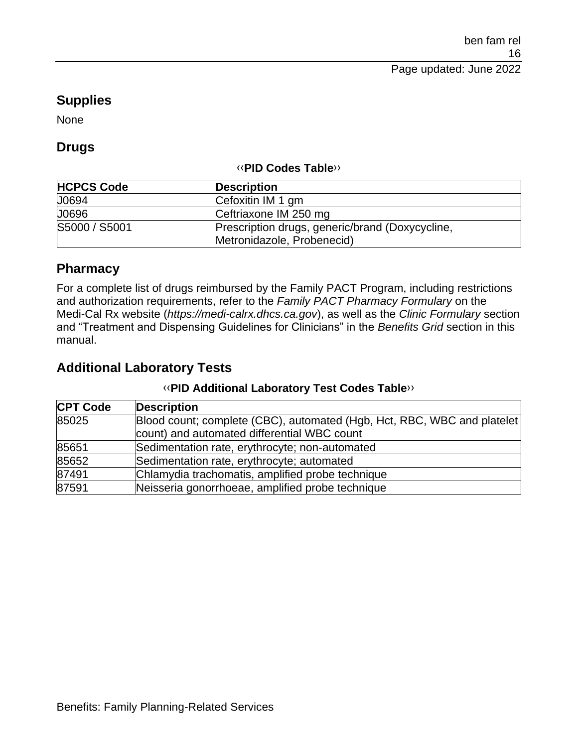## **Supplies**

None

### **Drugs**

#### [‹‹](#page-33-0)**PID Codes Table**[››](#page-33-1)

| <b>HCPCS Code</b> | <b>Description</b>                              |
|-------------------|-------------------------------------------------|
| J0694             | Cefoxitin IM 1 gm                               |
| J0696             | Ceftriaxone IM 250 mg                           |
| S5000 / S5001     | Prescription drugs, generic/brand (Doxycycline, |
|                   | Metronidazole, Probenecid)                      |

## **Pharmacy**

For a complete list of drugs reimbursed by the Family PACT Program, including restrictions and authorization requirements, refer to the *Family PACT Pharmacy Formulary* on the Medi-Cal Rx website (*https://medi-calrx.dhcs.ca.gov*), as well as the *Clinic Formulary* section and "Treatment and Dispensing Guidelines for Clinicians" in the *Benefits Grid* section in this manual.

## **Additional Laboratory Tests**

#### [‹‹](#page-33-0)**PID Additional Laboratory Test Codes Table**[››](#page-33-1)

| <b>CPT Code</b> | <b>Description</b>                                                      |
|-----------------|-------------------------------------------------------------------------|
| 85025           | Blood count; complete (CBC), automated (Hgb, Hct, RBC, WBC and platelet |
|                 | count) and automated differential WBC count                             |
| 85651           | Sedimentation rate, erythrocyte; non-automated                          |
| 85652           | Sedimentation rate, erythrocyte; automated                              |
| 87491           | Chlamydia trachomatis, amplified probe technique                        |
| 87591           | Neisseria gonorrhoeae, amplified probe technique                        |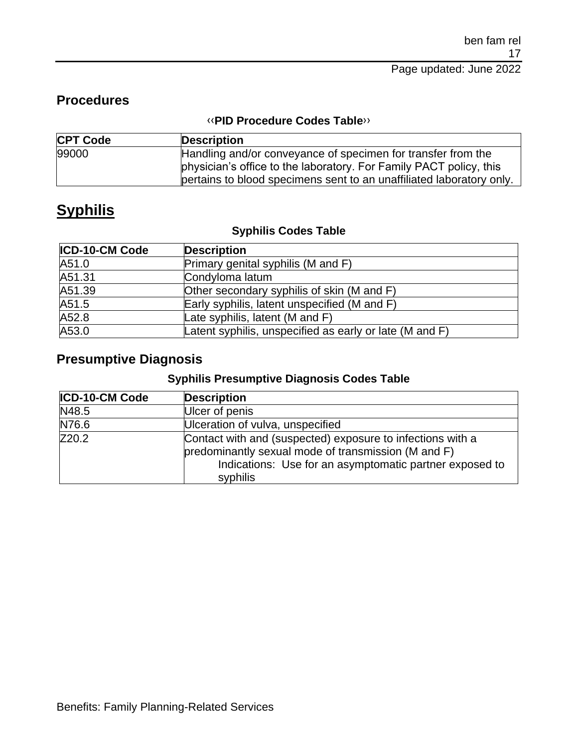## **Procedures**

#### [‹‹](#page-33-0)**PID Procedure Codes Table**[››](#page-33-1)

| <b>CPT Code</b> | <b>Description</b>                                                   |
|-----------------|----------------------------------------------------------------------|
| 99000           | Handling and/or conveyance of specimen for transfer from the         |
|                 | physician's office to the laboratory. For Family PACT policy, this   |
|                 | pertains to blood specimens sent to an unaffiliated laboratory only. |

# **Syphilis**

#### **Syphilis Codes Table**

| <b>ICD-10-CM Code</b> | <b>Description</b>                                      |
|-----------------------|---------------------------------------------------------|
| A51.0                 | Primary genital syphilis (M and F)                      |
| A51.31                | Condyloma latum                                         |
| A51.39                | Other secondary syphilis of skin (M and F)              |
| A51.5                 | Early syphilis, latent unspecified (M and F)            |
| A52.8                 | Late syphilis, latent (M and F)                         |
| A53.0                 | Latent syphilis, unspecified as early or late (M and F) |

## **Presumptive Diagnosis**

#### **Syphilis Presumptive Diagnosis Codes Table**

| ICD-10-CM Code | <b>Description</b>                                                                                                                                                                       |
|----------------|------------------------------------------------------------------------------------------------------------------------------------------------------------------------------------------|
| N48.5          | Ulcer of penis                                                                                                                                                                           |
| N76.6          | Ulceration of vulva, unspecified                                                                                                                                                         |
| Z20.2          | Contact with and (suspected) exposure to infections with a<br>predominantly sexual mode of transmission (M and F)<br>Indications: Use for an asymptomatic partner exposed to<br>syphilis |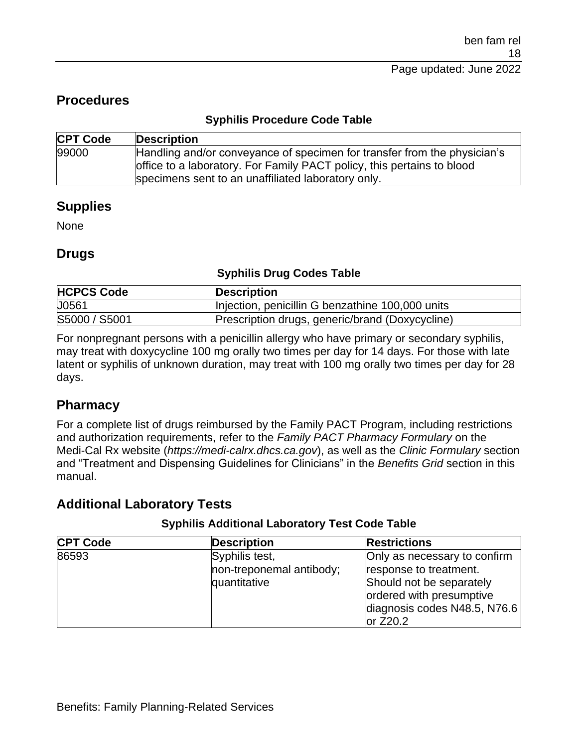## **Procedures**

#### **Syphilis Procedure Code Table**

| <b>CPT Code</b> | <b>Description</b>                                                                                                                                                                                       |
|-----------------|----------------------------------------------------------------------------------------------------------------------------------------------------------------------------------------------------------|
| 99000           | Handling and/or conveyance of specimen for transfer from the physician's<br>office to a laboratory. For Family PACT policy, this pertains to blood<br>specimens sent to an unaffiliated laboratory only. |

### **Supplies**

None

### **Drugs**

#### **Syphilis Drug Codes Table**

| <b>HCPCS Code</b> | <b>Description</b>                               |
|-------------------|--------------------------------------------------|
| U0561             | Injection, penicillin G benzathine 100,000 units |
| S5000 / S5001     | Prescription drugs, generic/brand (Doxycycline)  |

For nonpregnant persons with a penicillin allergy who have primary or secondary syphilis, may treat with doxycycline 100 mg orally two times per day for 14 days. For those with late latent or syphilis of unknown duration, may treat with 100 mg orally two times per day for 28 days.

### **Pharmacy**

For a complete list of drugs reimbursed by the Family PACT Program, including restrictions and authorization requirements, refer to the *Family PACT Pharmacy Formulary* on the Medi-Cal Rx website (*https://medi-calrx.dhcs.ca.gov*), as well as the *Clinic Formulary* section and "Treatment and Dispensing Guidelines for Clinicians" in the *Benefits Grid* section in this manual.

## **Additional Laboratory Tests**

| <b>CPT Code</b> | Description              | <b>Restrictions</b>          |
|-----------------|--------------------------|------------------------------|
| 86593           | Syphilis test,           | Only as necessary to confirm |
|                 | non-treponemal antibody; | response to treatment.       |
|                 | quantitative             | Should not be separately     |
|                 |                          | ordered with presumptive     |
|                 |                          | diagnosis codes N48.5, N76.6 |
|                 |                          | or $Z20.2$                   |

#### **Syphilis Additional Laboratory Test Code Table**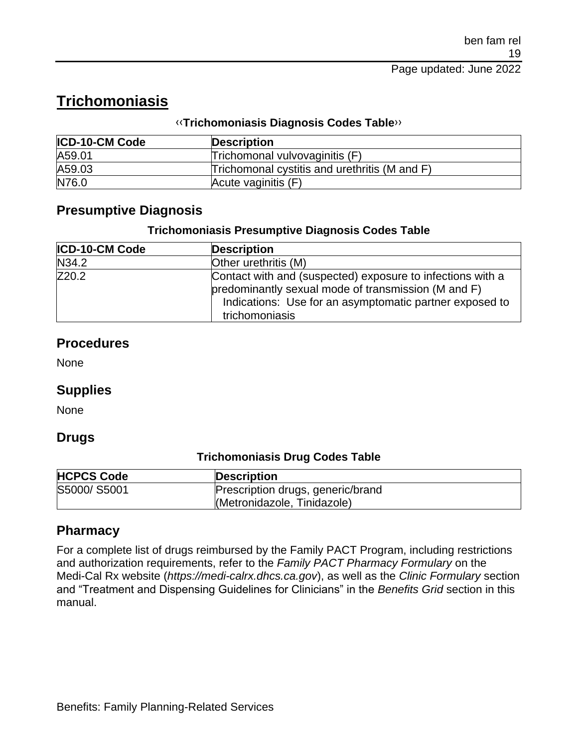# **Trichomoniasis**

#### [‹‹](#page-33-0)**Trichomoniasis Diagnosis Codes Table**[››](#page-33-1)

| <b>ICD-10-CM Code</b> | <b>Description</b>                            |
|-----------------------|-----------------------------------------------|
| A59.01                | Trichomonal vulvovaginitis (F)                |
| A59.03                | Trichomonal cystitis and urethritis (M and F) |
| N76.0                 | Acute vaginitis (F)                           |

## **Presumptive Diagnosis**

#### **Trichomoniasis Presumptive Diagnosis Codes Table**

| <b>ICD-10-CM Code</b> | <b>Description</b>                                                                                                                                                                             |  |
|-----------------------|------------------------------------------------------------------------------------------------------------------------------------------------------------------------------------------------|--|
| N34.2                 | Other urethritis (M)                                                                                                                                                                           |  |
| Z20.2                 | Contact with and (suspected) exposure to infections with a<br>predominantly sexual mode of transmission (M and F)<br>Indications: Use for an asymptomatic partner exposed to<br>trichomoniasis |  |

### **Procedures**

None

### **Supplies**

None

#### **Drugs**

#### **Trichomoniasis Drug Codes Table**

| <b>HCPCS Code</b> | <b>Description</b>                                               |  |
|-------------------|------------------------------------------------------------------|--|
| S5000/S5001       | Prescription drugs, generic/brand<br>(Metronidazole, Tinidazole) |  |

## **Pharmacy**

For a complete list of drugs reimbursed by the Family PACT Program, including restrictions and authorization requirements, refer to the *Family PACT Pharmacy Formulary* on the Medi-Cal Rx website (*https://medi-calrx.dhcs.ca.gov*), as well as the *Clinic Formulary* section and "Treatment and Dispensing Guidelines for Clinicians" in the *Benefits Grid* section in this manual.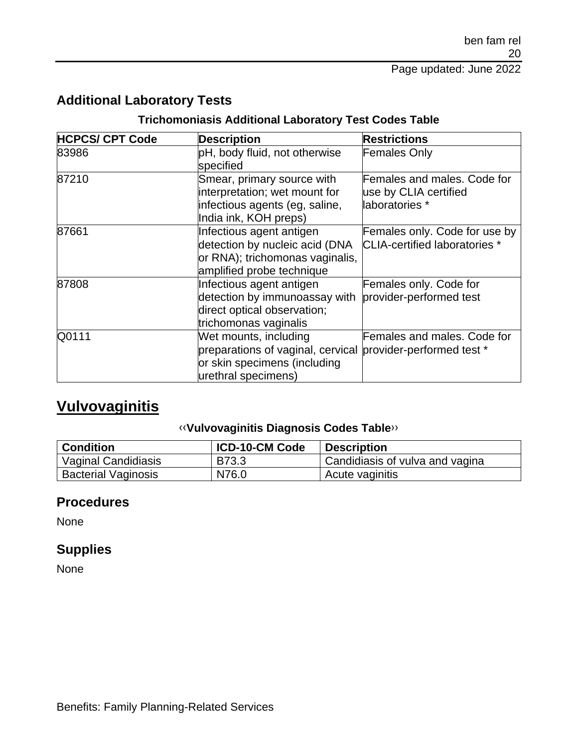## **Additional Laboratory Tests**

#### **Trichomoniasis Additional Laboratory Test Codes Table**

| <b>HCPCS/ CPT Code</b> | <b>Description</b>                                                                                                                          | <b>Restrictions</b>                                                    |
|------------------------|---------------------------------------------------------------------------------------------------------------------------------------------|------------------------------------------------------------------------|
| 83986                  | pH, body fluid, not otherwise<br>specified                                                                                                  | <b>Females Only</b>                                                    |
| 87210                  | Smear, primary source with<br>interpretation; wet mount for<br>infectious agents (eg. saline,<br>India ink, KOH preps)                      | Females and males. Code for<br>use by CLIA certified<br>laboratories * |
| 87661                  | Infectious agent antigen<br>detection by nucleic acid (DNA<br>or RNA); trichomonas vaginalis,<br>amplified probe technique                  | Females only. Code for use by<br><b>CLIA-certified laboratories</b> *  |
| 87808                  | Infectious agent antigen<br>detection by immunoassay with<br>direct optical observation;<br>trichomonas vaginalis                           | Females only. Code for<br>provider-performed test                      |
| Q0111                  | Wet mounts, including<br>preparations of vaginal, cervical provider-performed test *<br>or skin specimens (including<br>urethral specimens) | Females and males. Code for                                            |

# **Vulvovaginitis**

#### [‹‹](#page-33-0)**Vulvovaginitis Diagnosis Codes Table**[››](#page-33-1)

| <b>Condition</b>           | <b>ICD-10-CM Code</b> | <b>Description</b>              |
|----------------------------|-----------------------|---------------------------------|
| Vaginal Candidiasis        | <b>B73.3</b>          | Candidiasis of vulva and vagina |
| <b>Bacterial Vaginosis</b> | N76.0                 | Acute vaginitis                 |

## **Procedures**

None

### **Supplies**

None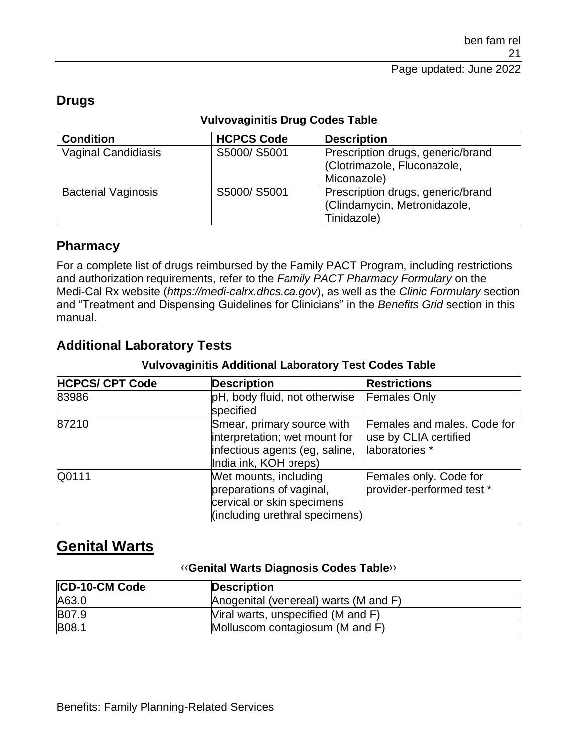## **Drugs**

| <b>Condition</b>           | <b>HCPCS Code</b> | <b>Description</b>                |
|----------------------------|-------------------|-----------------------------------|
| Vaginal Candidiasis        | S5000/S5001       | Prescription drugs, generic/brand |
|                            |                   | (Clotrimazole, Fluconazole,       |
|                            |                   | Miconazole)                       |
| <b>Bacterial Vaginosis</b> | S5000/S5001       | Prescription drugs, generic/brand |
|                            |                   | (Clindamycin, Metronidazole,      |
|                            |                   | Tinidazole)                       |

#### **Vulvovaginitis Drug Codes Table**

### **Pharmacy**

For a complete list of drugs reimbursed by the Family PACT Program, including restrictions and authorization requirements, refer to the *Family PACT Pharmacy Formulary* on the Medi-Cal Rx website (*https://medi-calrx.dhcs.ca.gov*), as well as the *Clinic Formulary* section and "Treatment and Dispensing Guidelines for Clinicians" in the *Benefits Grid* section in this manual.

## **Additional Laboratory Tests**

#### **Vulvovaginitis Additional Laboratory Test Codes Table**

| <b>HCPCS/ CPT Code</b> | <b>Description</b>                                                                                                     | <b>Restrictions</b>                                                    |
|------------------------|------------------------------------------------------------------------------------------------------------------------|------------------------------------------------------------------------|
| 83986                  | pH, body fluid, not otherwise<br>specified                                                                             | <b>Females Only</b>                                                    |
| 87210                  | Smear, primary source with<br>interpretation; wet mount for<br>infectious agents (eg, saline,<br>India ink, KOH preps) | Females and males. Code for<br>use by CLIA certified<br>laboratories * |
| Q0111                  | Wet mounts, including<br>preparations of vaginal,<br>cervical or skin specimens<br>(including urethral specimens)      | Females only. Code for<br>provider-performed test *                    |

# **Genital Warts**

#### [‹‹](#page-33-0)**Genital Warts Diagnosis Codes Table**[››](#page-33-1)

| <b>ICD-10-CM Code</b> | <b>Description</b>                    |
|-----------------------|---------------------------------------|
| A63.0                 | Anogenital (venereal) warts (M and F) |
| B07.9                 | Viral warts, unspecified (M and F)    |
| <b>B08.1</b>          | Molluscom contagiosum (M and F)       |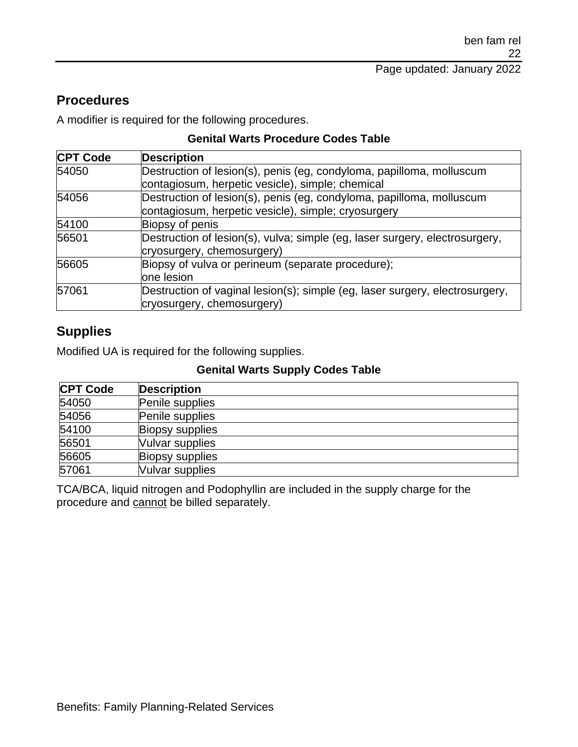## **Procedures**

A modifier is required for the following procedures.

#### **Genital Warts Procedure Codes Table**

| <b>CPT Code</b> | <b>Description</b>                                                           |
|-----------------|------------------------------------------------------------------------------|
| 54050           | Destruction of lesion(s), penis (eg, condyloma, papilloma, molluscum         |
|                 | contagiosum, herpetic vesicle), simple; chemical                             |
| 54056           | Destruction of lesion(s), penis (eg, condyloma, papilloma, molluscum         |
|                 | contagiosum, herpetic vesicle), simple; cryosurgery                          |
| 54100           | Biopsy of penis                                                              |
| 56501           | Destruction of lesion(s), vulva; simple (eg, laser surgery, electrosurgery,  |
|                 | cryosurgery, chemosurgery)                                                   |
| 56605           | Biopsy of vulva or perineum (separate procedure);                            |
|                 | one lesion                                                                   |
| 57061           | Destruction of vaginal lesion(s); simple (eg, laser surgery, electrosurgery, |
|                 | cryosurgery, chemosurgery)                                                   |

## **Supplies**

Modified UA is required for the following supplies.

#### **Genital Warts Supply Codes Table**

| <b>CPT Code</b> | <b>Description</b>     |
|-----------------|------------------------|
| 54050           | Penile supplies        |
| 54056           | Penile supplies        |
| 54100           | <b>Biopsy supplies</b> |
| 56501           | Vulvar supplies        |
| 56605           | <b>Biopsy supplies</b> |
| 57061           | Vulvar supplies        |

TCA/BCA, liquid nitrogen and Podophyllin are included in the supply charge for the procedure and cannot be billed separately.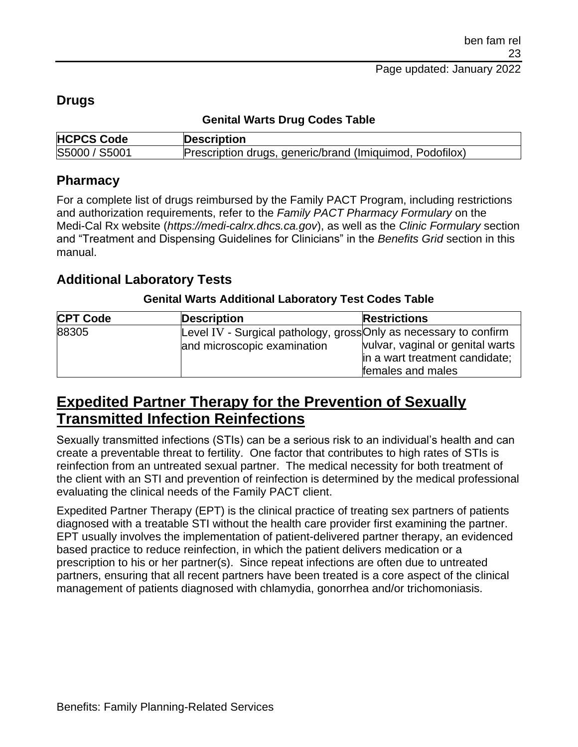### **Drugs**

#### **Genital Warts Drug Codes Table**

| <b>HCPCS Code</b> | <b>Description</b>                                       |
|-------------------|----------------------------------------------------------|
| S5000 / S5001     | Prescription drugs, generic/brand (Imiquimod, Podofilox) |

### **Pharmacy**

For a complete list of drugs reimbursed by the Family PACT Program, including restrictions and authorization requirements, refer to the *Family PACT Pharmacy Formulary* on the Medi-Cal Rx website (*https://medi-calrx.dhcs.ca.gov*), as well as the *Clinic Formulary* section and "Treatment and Dispensing Guidelines for Clinicians" in the *Benefits Grid* section in this manual.

## **Additional Laboratory Tests**

#### **Genital Warts Additional Laboratory Test Codes Table**

| <b>CPT Code</b> | <b>Description</b>          | <b>Restrictions</b>                                               |
|-----------------|-----------------------------|-------------------------------------------------------------------|
| 88305           |                             | Level IV - Surgical pathology, gross Only as necessary to confirm |
|                 | and microscopic examination | vulvar, vaginal or genital warts                                  |
|                 |                             | in a wart treatment candidate;                                    |
|                 |                             | females and males                                                 |

# **Expedited Partner Therapy for the Prevention of Sexually Transmitted Infection Reinfections**

Sexually transmitted infections (STIs) can be a serious risk to an individual's health and can create a preventable threat to fertility. One factor that contributes to high rates of STIs is reinfection from an untreated sexual partner. The medical necessity for both treatment of the client with an STI and prevention of reinfection is determined by the medical professional evaluating the clinical needs of the Family PACT client.

Expedited Partner Therapy (EPT) is the clinical practice of treating sex partners of patients diagnosed with a treatable STI without the health care provider first examining the partner. EPT usually involves the implementation of patient-delivered partner therapy, an evidenced based practice to reduce reinfection, in which the patient delivers medication or a prescription to his or her partner(s). Since repeat infections are often due to untreated partners, ensuring that all recent partners have been treated is a core aspect of the clinical management of patients diagnosed with chlamydia, gonorrhea and/or trichomoniasis.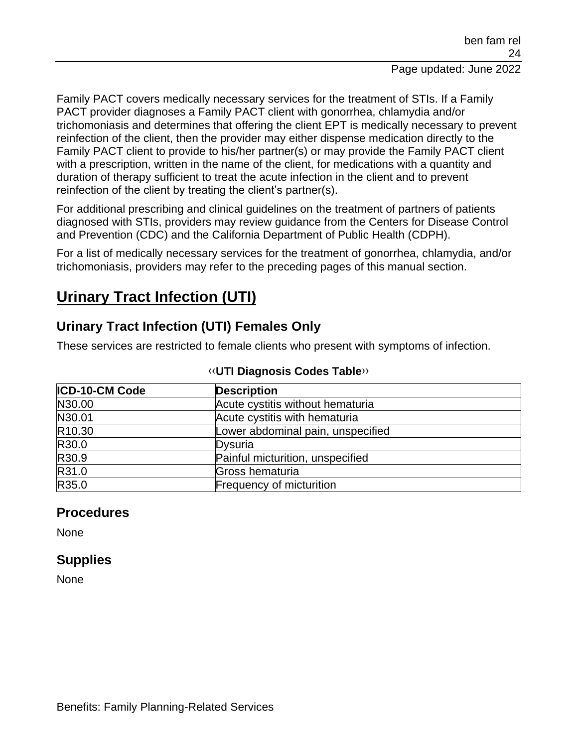Family PACT covers medically necessary services for the treatment of STIs. If a Family PACT provider diagnoses a Family PACT client with gonorrhea, chlamydia and/or trichomoniasis and determines that offering the client EPT is medically necessary to prevent reinfection of the client, then the provider may either dispense medication directly to the Family PACT client to provide to his/her partner(s) or may provide the Family PACT client with a prescription, written in the name of the client, for medications with a quantity and duration of therapy sufficient to treat the acute infection in the client and to prevent reinfection of the client by treating the client's partner(s).

For additional prescribing and clinical guidelines on the treatment of partners of patients diagnosed with STIs, providers may review guidance from the Centers for Disease Control and Prevention (CDC) and the California Department of Public Health (CDPH).

For a list of medically necessary services for the treatment of gonorrhea, chlamydia, and/or trichomoniasis, providers may refer to the preceding pages of this manual section.

# **Urinary Tract Infection (UTI)**

## **Urinary Tract Infection (UTI) Females Only**

These services are restricted to female clients who present with symptoms of infection.

| ICD-10-CM Code     | <b>Description</b>                |  |
|--------------------|-----------------------------------|--|
| N30.00             | Acute cystitis without hematuria  |  |
| N30.01             | Acute cystitis with hematuria     |  |
| R <sub>10.30</sub> | Lower abdominal pain, unspecified |  |
| R30.0              | Dysuria                           |  |
| R30.9              | Painful micturition, unspecified  |  |
| R31.0              | Gross hematuria                   |  |
| R35.0              | <b>Frequency of micturition</b>   |  |

#### [‹‹](#page-33-0)**UTI Diagnosis Codes Table**[››](#page-33-1)

## **Procedures**

**None** 

## **Supplies**

None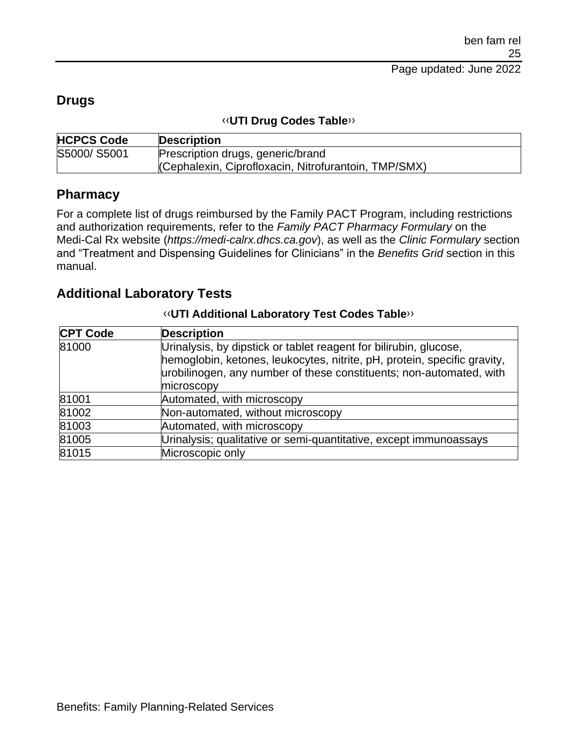## **Drugs**

#### [‹‹](#page-33-0)**UTI Drug Codes Table**[››](#page-33-1)

| <b>HCPCS Code</b> | <b>Description</b>                                   |  |
|-------------------|------------------------------------------------------|--|
| S5000/S5001       | Prescription drugs, generic/brand                    |  |
|                   | (Cephalexin, Ciprofloxacin, Nitrofurantoin, TMP/SMX) |  |

### **Pharmacy**

For a complete list of drugs reimbursed by the Family PACT Program, including restrictions and authorization requirements, refer to the *Family PACT Pharmacy Formulary* on the Medi-Cal Rx website (*https://medi-calrx.dhcs.ca.gov*), as well as the *Clinic Formulary* section and "Treatment and Dispensing Guidelines for Clinicians" in the *Benefits Grid* section in this manual.

### **Additional Laboratory Tests**

| <b>CPT Code</b> | <b>Description</b>                                                                                                                                                                                                                 |  |
|-----------------|------------------------------------------------------------------------------------------------------------------------------------------------------------------------------------------------------------------------------------|--|
| 81000           | Urinalysis, by dipstick or tablet reagent for bilirubin, glucose,<br>hemoglobin, ketones, leukocytes, nitrite, pH, protein, specific gravity,<br>urobilinogen, any number of these constituents; non-automated, with<br>microscopy |  |
| 81001           | Automated, with microscopy                                                                                                                                                                                                         |  |
| 81002           | Non-automated, without microscopy                                                                                                                                                                                                  |  |
| 81003           | Automated, with microscopy                                                                                                                                                                                                         |  |
| 81005           | Urinalysis; qualitative or semi-quantitative, except immunoassays                                                                                                                                                                  |  |
| 81015           | Microscopic only                                                                                                                                                                                                                   |  |

#### [‹‹](#page-33-0)**UTI Additional Laboratory Test Codes Table**[››](#page-33-1)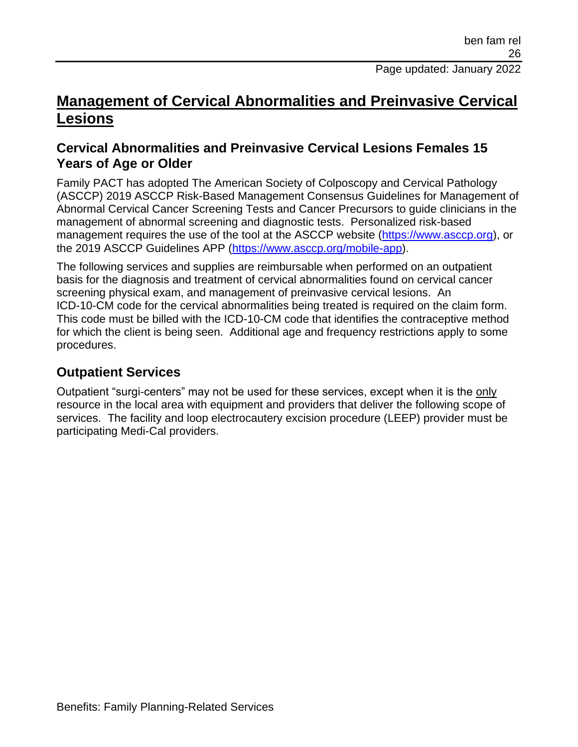# **Management of Cervical Abnormalities and Preinvasive Cervical Lesions**

## **Cervical Abnormalities and Preinvasive Cervical Lesions Females 15 Years of Age or Older**

Family PACT has adopted The American Society of Colposcopy and Cervical Pathology (ASCCP) 2019 ASCCP Risk-Based Management Consensus Guidelines for Management of Abnormal Cervical Cancer Screening Tests and Cancer Precursors to guide clinicians in the management of abnormal screening and diagnostic tests. Personalized risk-based management requires the use of the tool at the ASCCP website [\(https://www.asccp.org\)](https://www.asccp.org/), or the 2019 ASCCP Guidelines APP [\(https://www.asccp.org/mobile-app\)](https://www.asccp.org/mobile-app).

The following services and supplies are reimbursable when performed on an outpatient basis for the diagnosis and treatment of cervical abnormalities found on cervical cancer screening physical exam, and management of preinvasive cervical lesions. An ICD-10-CM code for the cervical abnormalities being treated is required on the claim form. This code must be billed with the ICD-10-CM code that identifies the contraceptive method for which the client is being seen. Additional age and frequency restrictions apply to some procedures.

## **Outpatient Services**

Outpatient "surgi-centers" may not be used for these services, except when it is the only resource in the local area with equipment and providers that deliver the following scope of services. The facility and loop electrocautery excision procedure (LEEP) provider must be participating Medi-Cal providers.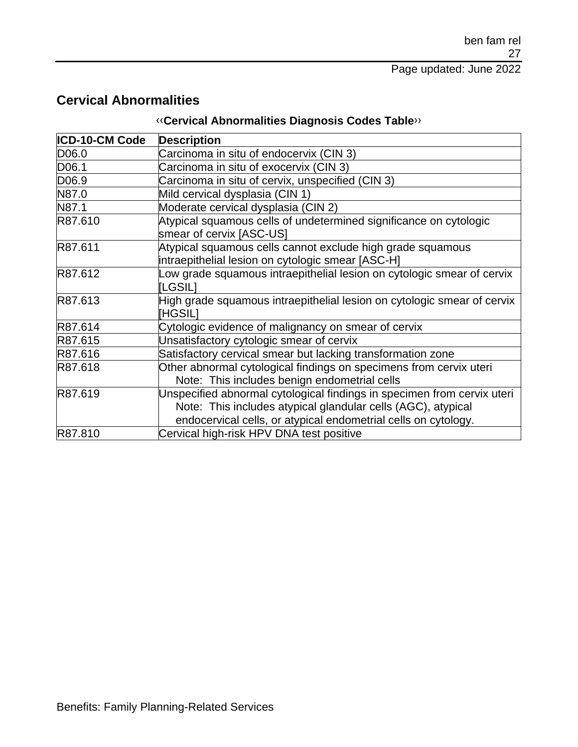## **Cervical Abnormalities**

## [‹‹](#page-33-0)**Cervical Abnormalities Diagnosis Codes Table**[››](#page-33-1)

| ICD-10-CM Code    | <b>Description</b>                                                                                                                                                                                        |  |
|-------------------|-----------------------------------------------------------------------------------------------------------------------------------------------------------------------------------------------------------|--|
| D06.0             | Carcinoma in situ of endocervix (CIN 3)                                                                                                                                                                   |  |
| D <sub>06.1</sub> | Carcinoma in situ of exocervix (CIN 3)                                                                                                                                                                    |  |
| D06.9             | Carcinoma in situ of cervix, unspecified (CIN 3)                                                                                                                                                          |  |
| N87.0             | Mild cervical dysplasia (CIN 1)                                                                                                                                                                           |  |
| N87.1             | Moderate cervical dysplasia (CIN 2)                                                                                                                                                                       |  |
| R87.610           | Atypical squamous cells of undetermined significance on cytologic<br>smear of cervix [ASC-US]                                                                                                             |  |
| R87.611           | Atypical squamous cells cannot exclude high grade squamous<br>intraepithelial lesion on cytologic smear [ASC-H]                                                                                           |  |
| R87.612           | Low grade squamous intraepithelial lesion on cytologic smear of cervix<br>[LGSIL]                                                                                                                         |  |
| R87.613           | High grade squamous intraepithelial lesion on cytologic smear of cervix<br><b>HGSILI</b>                                                                                                                  |  |
| R87.614           | Cytologic evidence of malignancy on smear of cervix                                                                                                                                                       |  |
| R87.615           | Unsatisfactory cytologic smear of cervix                                                                                                                                                                  |  |
| R87.616           | Satisfactory cervical smear but lacking transformation zone                                                                                                                                               |  |
| R87.618           | Other abnormal cytological findings on specimens from cervix uteri<br>Note: This includes benign endometrial cells                                                                                        |  |
| R87.619           | Unspecified abnormal cytological findings in specimen from cervix uteri<br>Note: This includes atypical glandular cells (AGC), atypical<br>endocervical cells, or atypical endometrial cells on cytology. |  |
| R87.810           | Cervical high-risk HPV DNA test positive                                                                                                                                                                  |  |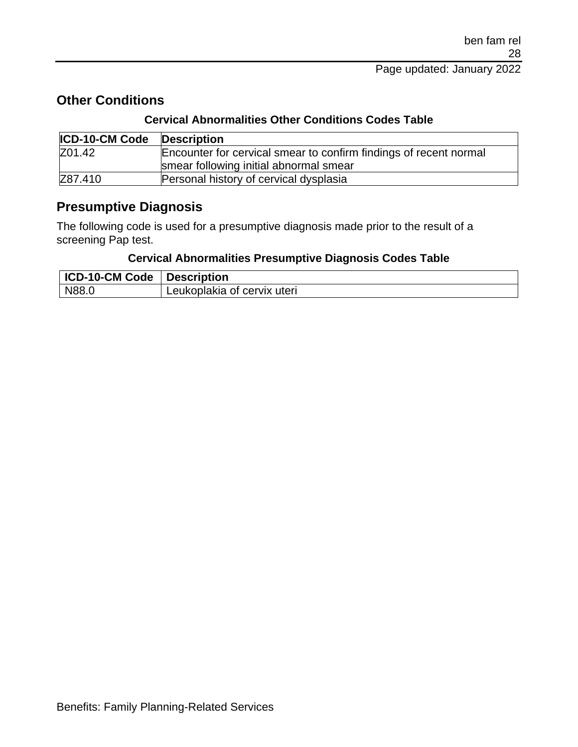## **Other Conditions**

#### **Cervical Abnormalities Other Conditions Codes Table**

| <b>ICD-10-CM Code</b> | <b>Description</b>                                                |  |
|-----------------------|-------------------------------------------------------------------|--|
| Z01.42                | Encounter for cervical smear to confirm findings of recent normal |  |
|                       | smear following initial abnormal smear                            |  |
| Z87.410               | Personal history of cervical dysplasia                            |  |

### **Presumptive Diagnosis**

The following code is used for a presumptive diagnosis made prior to the result of a screening Pap test.

#### **Cervical Abnormalities Presumptive Diagnosis Codes Table**

| ICD-10-CM Code   Description |                             |
|------------------------------|-----------------------------|
| N88.0                        | Leukoplakia of cervix uteri |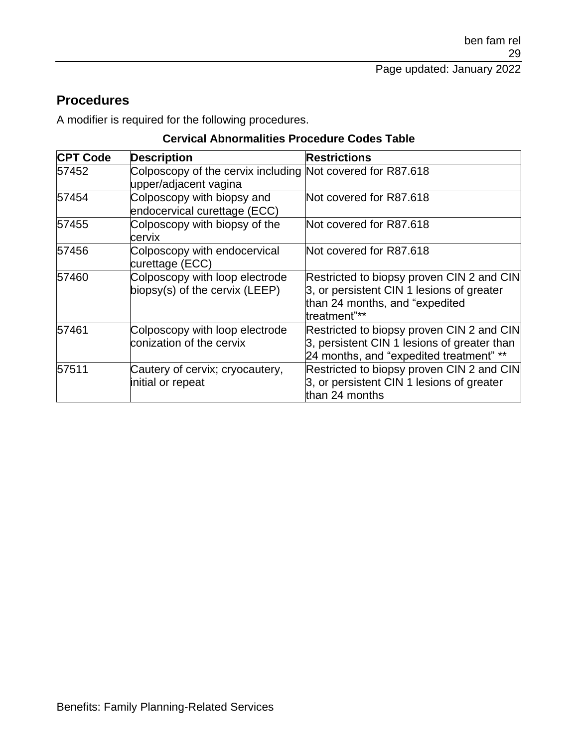## **Procedures**

A modifier is required for the following procedures.

#### **Cervical Abnormalities Procedure Codes Table**

| <b>CPT Code</b> | <b>Description</b>                                                                  | <b>Restrictions</b>                                                                                                                      |
|-----------------|-------------------------------------------------------------------------------------|------------------------------------------------------------------------------------------------------------------------------------------|
| 57452           | Colposcopy of the cervix including Not covered for R87.618<br>upper/adjacent vagina |                                                                                                                                          |
| 57454           | Colposcopy with biopsy and<br>endocervical curettage (ECC)                          | Not covered for R87.618                                                                                                                  |
| 57455           | Colposcopy with biopsy of the<br>cervix                                             | Not covered for R87.618                                                                                                                  |
| 57456           | Colposcopy with endocervical<br>curettage (ECC)                                     | Not covered for R87.618                                                                                                                  |
| 57460           | Colposcopy with loop electrode<br>biopsy(s) of the cervix (LEEP)                    | Restricted to biopsy proven CIN 2 and CIN<br>3, or persistent CIN 1 lesions of greater<br>than 24 months, and "expedited<br>treatment"** |
| 57461           | Colposcopy with loop electrode<br>conization of the cervix                          | Restricted to biopsy proven CIN 2 and CIN<br>3, persistent CIN 1 lesions of greater than<br>24 months, and "expedited treatment" **      |
| 57511           | Cautery of cervix; cryocautery,<br>initial or repeat                                | Restricted to biopsy proven CIN 2 and CIN<br>3, or persistent CIN 1 lesions of greater<br>than 24 months                                 |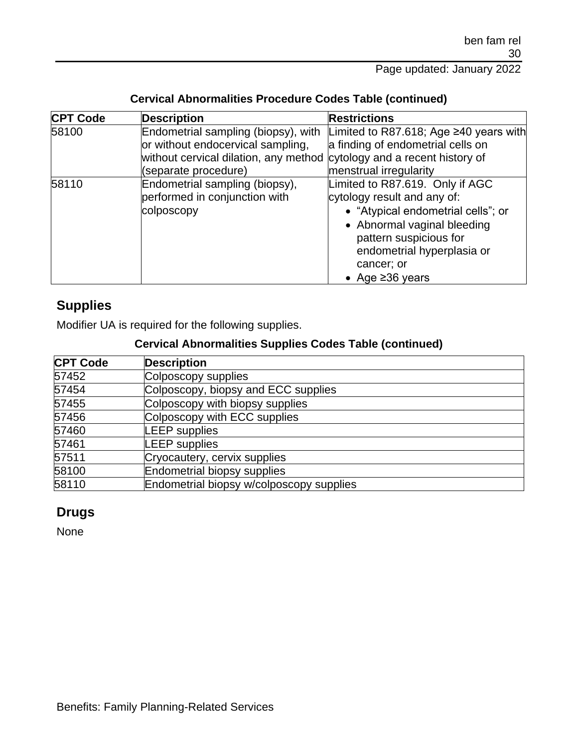| <b>CPT Code</b> | <b>Description</b>                                                     | <b>Restrictions</b>                    |
|-----------------|------------------------------------------------------------------------|----------------------------------------|
| 58100           | Endometrial sampling (biopsy), with                                    | Limited to R87.618; Age ≥40 years with |
|                 | or without endocervical sampling,                                      | a finding of endometrial cells on      |
|                 | without cervical dilation, any method cytology and a recent history of |                                        |
|                 | (separate procedure)                                                   | menstrual irregularity                 |
| 58110           | Endometrial sampling (biopsy),                                         | Limited to R87.619. Only if AGC        |
|                 | performed in conjunction with                                          | cytology result and any of:            |
|                 | colposcopy                                                             | • "Atypical endometrial cells"; or     |
|                 |                                                                        | • Abnormal vaginal bleeding            |
|                 |                                                                        | pattern suspicious for                 |
|                 |                                                                        | endometrial hyperplasia or             |
|                 |                                                                        | cancer; or                             |
|                 |                                                                        | • Age $\geq$ 36 years                  |

#### **Cervical Abnormalities Procedure Codes Table (continued)**

## **Supplies**

Modifier UA is required for the following supplies.

### **Cervical Abnormalities Supplies Codes Table (continued)**

| <b>CPT Code</b> | <b>Description</b>                       |
|-----------------|------------------------------------------|
| 57452           | Colposcopy supplies                      |
| 57454           | Colposcopy, biopsy and ECC supplies      |
| 57455           | Colposcopy with biopsy supplies          |
| 57456           | Colposcopy with ECC supplies             |
| 57460           | <b>LEEP</b> supplies                     |
| 57461           | <b>LEEP</b> supplies                     |
| 57511           | Cryocautery, cervix supplies             |
| 58100           | <b>Endometrial biopsy supplies</b>       |
| 58110           | Endometrial biopsy w/colposcopy supplies |

## **Drugs**

None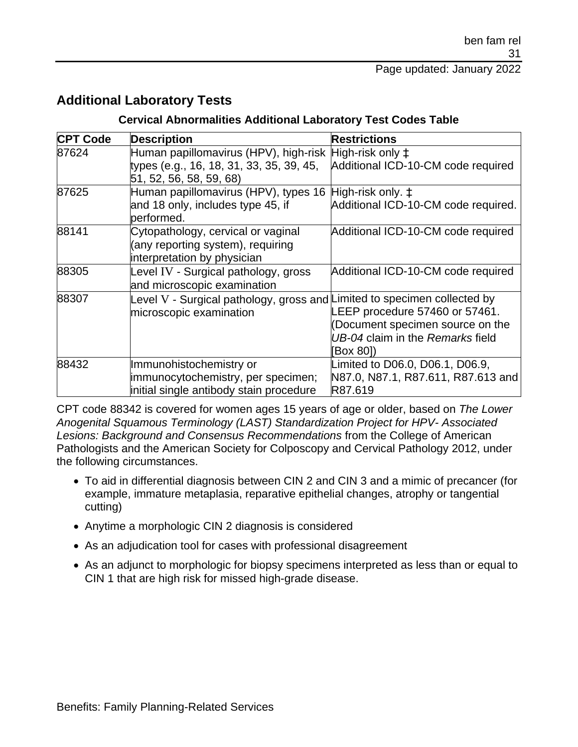### **Additional Laboratory Tests**

#### **Cervical Abnormalities Additional Laboratory Test Codes Table**

| <b>CPT Code</b> | <b>Description</b>                                                                                                                     | <b>Restrictions</b>                                                                                                 |
|-----------------|----------------------------------------------------------------------------------------------------------------------------------------|---------------------------------------------------------------------------------------------------------------------|
| 87624           | Human papillomavirus (HPV), high-risk High-risk only $\ddagger$<br>types (e.g., 16, 18, 31, 33, 35, 39, 45,<br>51, 52, 56, 58, 59, 68) | Additional ICD-10-CM code required                                                                                  |
| 87625           | Human papillomavirus (HPV), types 16 High-risk only. $\ddagger$<br>and 18 only, includes type 45, if<br>performed.                     | Additional ICD-10-CM code required.                                                                                 |
| 88141           | Cytopathology, cervical or vaginal<br>(any reporting system), requiring<br>interpretation by physician                                 | Additional ICD-10-CM code required                                                                                  |
| 88305           | Level IV - Surgical pathology, gross<br>and microscopic examination                                                                    | Additional ICD-10-CM code required                                                                                  |
| 88307           | Level V - Surgical pathology, gross and Limited to specimen collected by<br>microscopic examination                                    | LEEP procedure 57460 or 57461.<br>(Document specimen source on the<br>UB-04 claim in the Remarks field<br>[Box 80]) |
| 88432           | Immunohistochemistry or<br>immunocytochemistry, per specimen;<br>initial single antibody stain procedure                               | Limited to D06.0, D06.1, D06.9,<br>N87.0, N87.1, R87.611, R87.613 and<br>R87.619                                    |

CPT code 88342 is covered for women ages 15 years of age or older, based on *The Lower Anogenital Squamous Terminology (LAST) Standardization Project for HPV- Associated Lesions: Background and Consensus Recommendations* from the College of American Pathologists and the American Society for Colposcopy and Cervical Pathology 2012, under the following circumstances.

- To aid in differential diagnosis between CIN 2 and CIN 3 and a mimic of precancer (for example, immature metaplasia, reparative epithelial changes, atrophy or tangential cutting)
- Anytime a morphologic CIN 2 diagnosis is considered
- As an adjudication tool for cases with professional disagreement
- As an adjunct to morphologic for biopsy specimens interpreted as less than or equal to CIN 1 that are high risk for missed high-grade disease.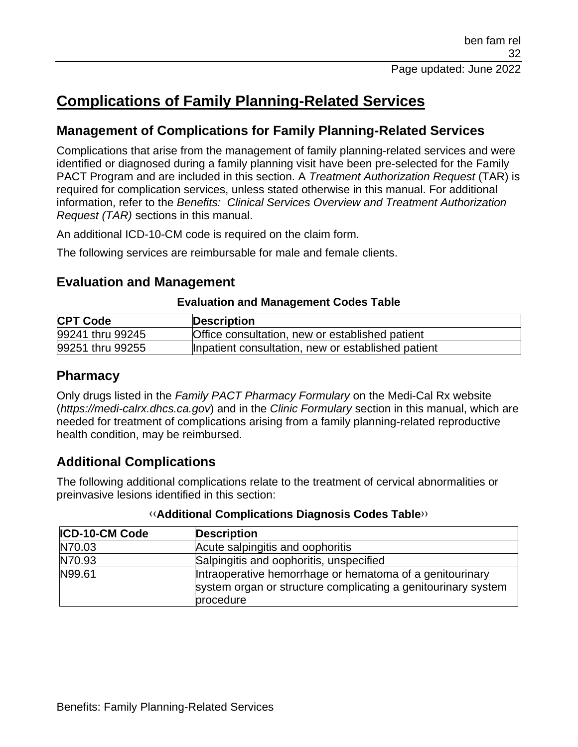# **Complications of Family Planning-Related Services**

## **Management of Complications for Family Planning-Related Services**

Complications that arise from the management of family planning-related services and were identified or diagnosed during a family planning visit have been pre-selected for the Family PACT Program and are included in this section. A *Treatment Authorization Request* (TAR) is required for complication services, unless stated otherwise in this manual. For additional information, refer to the *Benefits: Clinical Services Overview and Treatment Authorization Request (TAR)* sections in this manual.

An additional ICD-10-CM code is required on the claim form.

The following services are reimbursable for male and female clients.

### **Evaluation and Management**

#### **Evaluation and Management Codes Table**

| <b>CPT Code</b>  | Description                                        |
|------------------|----------------------------------------------------|
| 99241 thru 99245 | Office consultation, new or established patient    |
| 99251 thru 99255 | Inpatient consultation, new or established patient |

## **Pharmacy**

Only drugs listed in the *Family PACT Pharmacy Formulary* on the Medi-Cal Rx website (*https://medi-calrx.dhcs.ca.gov*) and in the *Clinic Formulary* section in this manual, which are needed for treatment of complications arising from a family planning-related reproductive health condition, may be reimbursed.

## **Additional Complications**

The following additional complications relate to the treatment of cervical abnormalities or preinvasive lesions identified in this section:

| <b>ICD-10-CM Code</b> | <b>Description</b>                                                                                                                     |
|-----------------------|----------------------------------------------------------------------------------------------------------------------------------------|
| N70.03                | Acute salpingitis and oophoritis                                                                                                       |
| N70.93                | Salpingitis and oophoritis, unspecified                                                                                                |
| N99.61                | Intraoperative hemorrhage or hematoma of a genitourinary<br>system organ or structure complicating a genitourinary system<br>procedure |

#### [‹‹](#page-33-0)**Additional Complications Diagnosis Codes Table**[››](#page-33-1)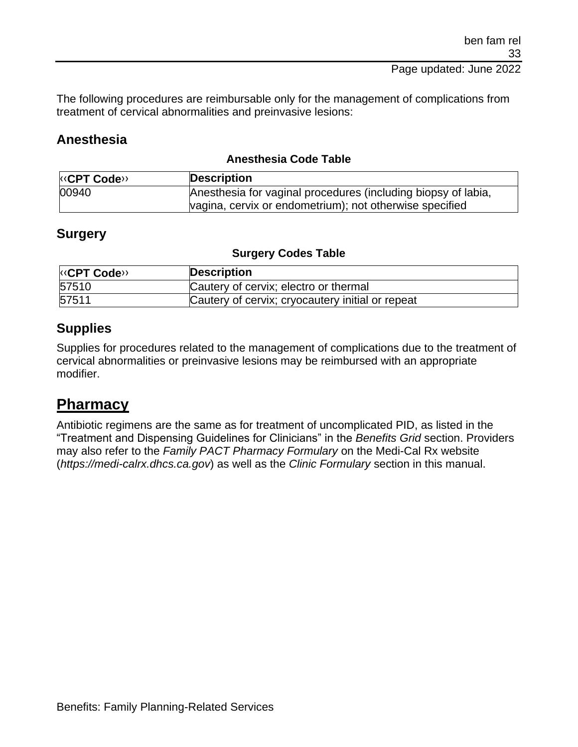#### Page updated: June 2022

The following procedures are reimbursable only for the management of complications from treatment of cervical abnormalities and preinvasive lesions:

### **Anesthesia**

#### **Anesthesia Code Table**

| <b>KCPT Code</b> | <b>Description</b>                                            |
|------------------|---------------------------------------------------------------|
| 00940            | Anesthesia for vaginal procedures (including biopsy of labia, |
|                  | vagina, cervix or endometrium); not otherwise specified       |

### **Surgery**

#### **Surgery Codes Table**

| <b>KOPT Code&gt;&gt;</b> | <b>Description</b>                               |
|--------------------------|--------------------------------------------------|
| 57510                    | Cautery of cervix; electro or thermal            |
| 57511                    | Cautery of cervix; cryocautery initial or repeat |

## **Supplies**

Supplies for procedures related to the management of complications due to the treatment of cervical abnormalities or preinvasive lesions may be reimbursed with an appropriate modifier.

# **Pharmacy**

Antibiotic regimens are the same as for treatment of uncomplicated PID, as listed in the "Treatment and Dispensing Guidelines for Clinicians" in the *Benefits Grid* section. Providers may also refer to the *Family PACT Pharmacy Formulary* on the Medi-Cal Rx website (*https://medi-calrx.dhcs.ca.gov*) as well as the *Clinic Formulary* section in this manual.